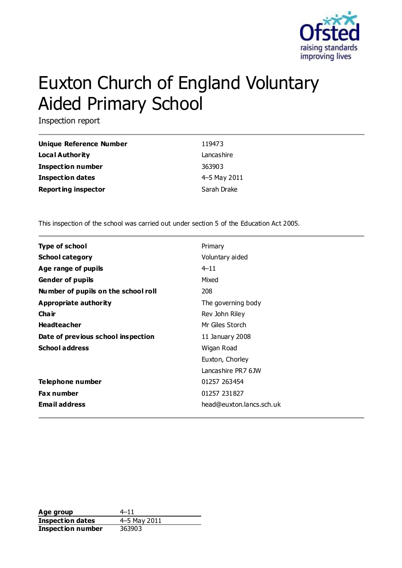

# Euxton Church of England Voluntary Aided Primary School

Inspection report

| <b>Unique Reference Number</b> | 119473       |
|--------------------------------|--------------|
| <b>Local Authority</b>         | Lancashire   |
| <b>Inspection number</b>       | 363903       |
| <b>Inspection dates</b>        | 4–5 May 2011 |
| <b>Reporting inspector</b>     | Sarah Drake  |

This inspection of the school was carried out under section 5 of the Education Act 2005.

| <b>Type of school</b>               | Primary                  |
|-------------------------------------|--------------------------|
| <b>School category</b>              | Voluntary aided          |
| Age range of pupils                 | $4 - 11$                 |
| <b>Gender of pupils</b>             | Mixed                    |
| Number of pupils on the school roll | 208                      |
| Appropriate authority               | The governing body       |
| Cha ir                              | Rev John Riley           |
| <b>Headteacher</b>                  | Mr Giles Storch          |
| Date of previous school inspection  | 11 January 2008          |
| <b>School address</b>               | Wigan Road               |
|                                     | Euxton, Chorley          |
|                                     | Lancashire PR7 6JW       |
| Telephone number                    | 01257 263454             |
| <b>Fax number</b>                   | 01257 231827             |
| <b>Email address</b>                | head@euxton.lancs.sch.uk |

Age group  $4-11$ **Inspection dates** 4–5 May 2011 **Inspection number** 363903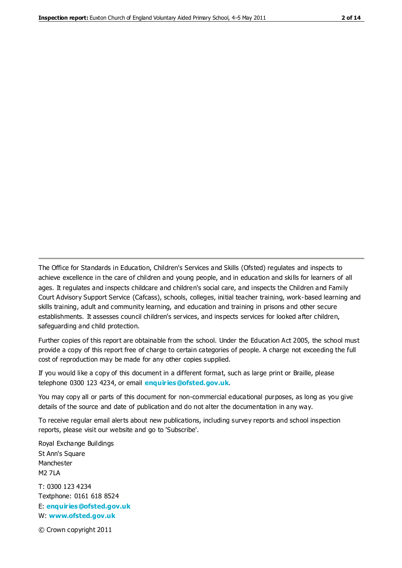The Office for Standards in Education, Children's Services and Skills (Ofsted) regulates and inspects to achieve excellence in the care of children and young people, and in education and skills for learners of all ages. It regulates and inspects childcare and children's social care, and inspects the Children and Family Court Advisory Support Service (Cafcass), schools, colleges, initial teacher training, work-based learning and skills training, adult and community learning, and education and training in prisons and other secure establishments. It assesses council children's services, and inspects services for looked after children, safeguarding and child protection.

Further copies of this report are obtainable from the school. Under the Education Act 2005, the school must provide a copy of this report free of charge to certain categories of people. A charge not exceeding the full cost of reproduction may be made for any other copies supplied.

If you would like a copy of this document in a different format, such as large print or Braille, please telephone 0300 123 4234, or email **[enquiries@ofsted.gov.uk](mailto:enquiries@ofsted.gov.uk)**.

You may copy all or parts of this document for non-commercial educational purposes, as long as you give details of the source and date of publication and do not alter the documentation in any way.

To receive regular email alerts about new publications, including survey reports and school inspection reports, please visit our website and go to 'Subscribe'.

Royal Exchange Buildings St Ann's Square Manchester M2 7LA T: 0300 123 4234 Textphone: 0161 618 8524 E: **[enquiries@ofsted.gov.uk](mailto:enquiries@ofsted.gov.uk)**

W: **[www.ofsted.gov.uk](http://www.ofsted.gov.uk/)**

© Crown copyright 2011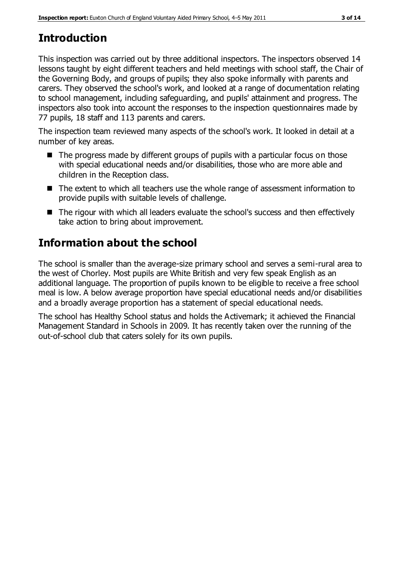# **Introduction**

This inspection was carried out by three additional inspectors. The inspectors observed 14 lessons taught by eight different teachers and held meetings with school staff, the Chair of the Governing Body, and groups of pupils; they also spoke informally with parents and carers. They observed the school's work, and looked at a range of documentation relating to school management, including safeguarding, and pupils' attainment and progress. The inspectors also took into account the responses to the inspection questionnaires made by 77 pupils, 18 staff and 113 parents and carers.

The inspection team reviewed many aspects of the school's work. It looked in detail at a number of key areas.

- $\blacksquare$  The progress made by different groups of pupils with a particular focus on those with special educational needs and/or disabilities, those who are more able and children in the Reception class.
- The extent to which all teachers use the whole range of assessment information to provide pupils with suitable levels of challenge.
- The rigour with which all leaders evaluate the school's success and then effectively take action to bring about improvement.

# **Information about the school**

The school is smaller than the average-size primary school and serves a semi-rural area to the west of Chorley. Most pupils are White British and very few speak English as an additional language. The proportion of pupils known to be eligible to receive a free school meal is low. A below average proportion have special educational needs and/or disabilities and a broadly average proportion has a statement of special educational needs.

The school has Healthy School status and holds the Activemark; it achieved the Financial Management Standard in Schools in 2009. It has recently taken over the running of the out-of-school club that caters solely for its own pupils.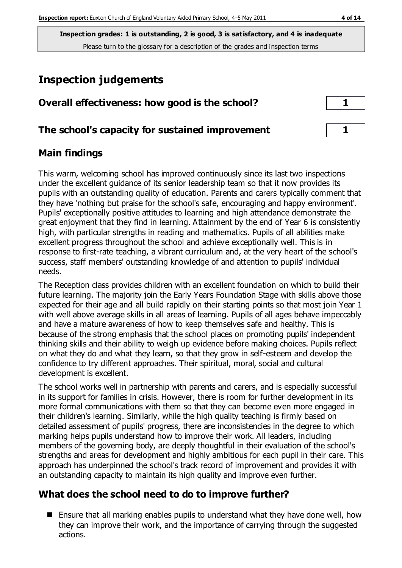# **Inspection judgements**

#### **The school's capacity for sustained improvement 1**

## **Main findings**

This warm, welcoming school has improved continuously since its last two inspections under the excellent guidance of its senior leadership team so that it now provides its pupils with an outstanding quality of education. Parents and carers typically comment that they have 'nothing but praise for the school's safe, encouraging and happy environment'. Pupils' exceptionally positive attitudes to learning and high attendance demonstrate the great enjoyment that they find in learning. Attainment by the end of Year 6 is consistently high, with particular strengths in reading and mathematics. Pupils of all abilities make excellent progress throughout the school and achieve exceptionally well. This is in response to first-rate teaching, a vibrant curriculum and, at the very heart of the school's success, staff members' outstanding knowledge of and attention to pupils' individual needs.

The Reception class provides children with an excellent foundation on which to build their future learning. The majority join the Early Years Foundation Stage with skills above those expected for their age and all build rapidly on their starting points so that most join Year 1 with well above average skills in all areas of learning. Pupils of all ages behave impeccably and have a mature awareness of how to keep themselves safe and healthy. This is because of the strong emphasis that the school places on promoting pupils' independent thinking skills and their ability to weigh up evidence before making choices. Pupils reflect on what they do and what they learn, so that they grow in self-esteem and develop the confidence to try different approaches. Their spiritual, moral, social and cultural development is excellent.

The school works well in partnership with parents and carers, and is especially successful in its support for families in crisis. However, there is room for further development in its more formal communications with them so that they can become even more engaged in their children's learning. Similarly, while the high quality teaching is firmly based on detailed assessment of pupils' progress, there are inconsistencies in the degree to which marking helps pupils understand how to improve their work. All leaders, including members of the governing body, are deeply thoughtful in their evaluation of the school's strengths and areas for development and highly ambitious for each pupil in their care. This approach has underpinned the school's track record of improvement and provides it with an outstanding capacity to maintain its high quality and improve even further.

## **What does the school need to do to improve further?**

**E** Ensure that all marking enables pupils to understand what they have done well, how they can improve their work, and the importance of carrying through the suggested actions.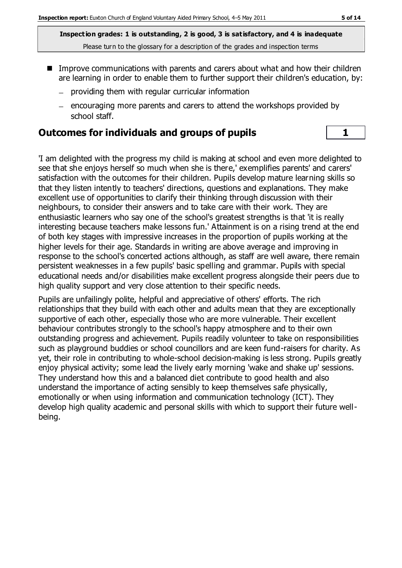- Improve communications with parents and carers about what and how their children are learning in order to enable them to further support their children's education, by:
	- $-$  providing them with regular curricular information
	- encouraging more parents and carers to attend the workshops provided by school staff.

#### **Outcomes for individuals and groups of pupils 1**

'I am delighted with the progress my child is making at school and even more delighted to see that she enjoys herself so much when she is there,' exemplifies parents' and carers' satisfaction with the outcomes for their children. Pupils develop mature learning skills so that they listen intently to teachers' directions, questions and explanations. They make excellent use of opportunities to clarify their thinking through discussion with their neighbours, to consider their answers and to take care with their work. They are enthusiastic learners who say one of the school's greatest strengths is that 'it is really interesting because teachers make lessons fun.' Attainment is on a rising trend at the end of both key stages with impressive increases in the proportion of pupils working at the higher levels for their age. Standards in writing are above average and improving in response to the school's concerted actions although, as staff are well aware, there remain persistent weaknesses in a few pupils' basic spelling and grammar. Pupils with special educational needs and/or disabilities make excellent progress alongside their peers due to high quality support and very close attention to their specific needs.

Pupils are unfailingly polite, helpful and appreciative of others' efforts. The rich relationships that they build with each other and adults mean that they are exceptionally supportive of each other, especially those who are more vulnerable. Their excellent behaviour contributes strongly to the school's happy atmosphere and to their own outstanding progress and achievement. Pupils readily volunteer to take on responsibilities such as playground buddies or school councillors and are keen fund-raisers for charity. As yet, their role in contributing to whole-school decision-making is less strong. Pupils greatly enjoy physical activity; some lead the lively early morning 'wake and shake up' sessions. They understand how this and a balanced diet contribute to good health and also understand the importance of acting sensibly to keep themselves safe physically, emotionally or when using information and communication technology (ICT). They develop high quality academic and personal skills with which to support their future wellbeing.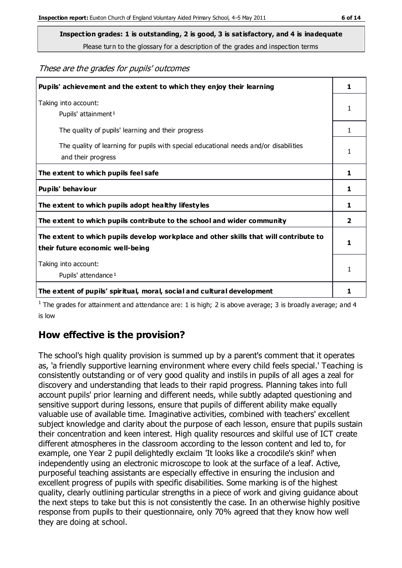**Inspection grades: 1 is outstanding, 2 is good, 3 is satisfactory, and 4 is inadequate**

Please turn to the glossary for a description of the grades and inspection terms

#### These are the grades for pupils' outcomes

| Pupils' achievement and the extent to which they enjoy their learning                                                     | 1            |
|---------------------------------------------------------------------------------------------------------------------------|--------------|
| Taking into account:<br>Pupils' attainment <sup>1</sup>                                                                   | 1            |
| The quality of pupils' learning and their progress                                                                        | $\mathbf{1}$ |
| The quality of learning for pupils with special educational needs and/or disabilities<br>and their progress               | 1            |
| The extent to which pupils feel safe                                                                                      | 1            |
| Pupils' behaviour                                                                                                         | 1            |
| The extent to which pupils adopt healthy lifestyles                                                                       | 1            |
| The extent to which pupils contribute to the school and wider community                                                   | 2            |
| The extent to which pupils develop workplace and other skills that will contribute to<br>their future economic well-being |              |
| Taking into account:                                                                                                      | 1            |
| Pupils' attendance <sup>1</sup>                                                                                           |              |
| The extent of pupils' spiritual, moral, social and cultural development                                                   | 1            |

<sup>1</sup> The grades for attainment and attendance are: 1 is high; 2 is above average; 3 is broadly average; and 4 is low

## **How effective is the provision?**

The school's high quality provision is summed up by a parent's comment that it operates as, 'a friendly supportive learning environment where every child feels special.' Teaching is consistently outstanding or of very good quality and instils in pupils of all ages a zeal for discovery and understanding that leads to their rapid progress. Planning takes into full account pupils' prior learning and different needs, while subtly adapted questioning and sensitive support during lessons, ensure that pupils of different ability make equally valuable use of available time. Imaginative activities, combined with teachers' excellent subject knowledge and clarity about the purpose of each lesson, ensure that pupils sustain their concentration and keen interest. High quality resources and skilful use of ICT create different atmospheres in the classroom according to the lesson content and led to, for example, one Year 2 pupil delightedly exclaim 'It looks like a crocodile's skin!' when independently using an electronic microscope to look at the surface of a leaf. Active, purposeful teaching assistants are especially effective in ensuring the inclusion and excellent progress of pupils with specific disabilities. Some marking is of the highest quality, clearly outlining particular strengths in a piece of work and giving guidance about the next steps to take but this is not consistently the case. In an otherwise highly positive response from pupils to their questionnaire, only 70% agreed that they know how well they are doing at school.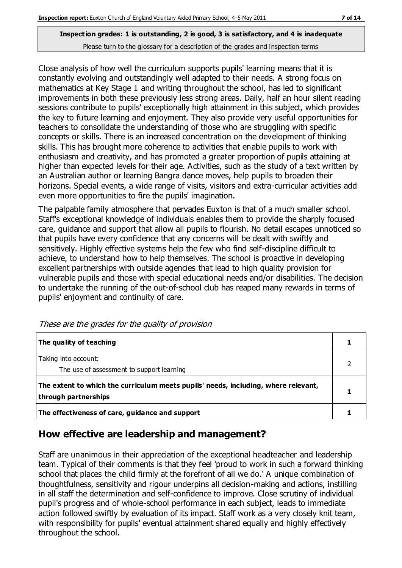Close analysis of how well the curriculum supports pupils' learning means that it is constantly evolving and outstandingly well adapted to their needs. A strong focus on mathematics at Key Stage 1 and writing throughout the school, has led to significant improvements in both these previously less strong areas. Daily, half an hour silent reading sessions contribute to pupils' exceptionally high attainment in this subject, which provides the key to future learning and enjoyment. They also provide very useful opportunities for teachers to consolidate the understanding of those who are struggling with specific concepts or skills. There is an increased concentration on the development of thinking skills. This has brought more coherence to activities that enable pupils to work with enthusiasm and creativity, and has promoted a greater proportion of pupils attaining at higher than expected levels for their age. Activities, such as the study of a text written by an Australian author or learning Bangra dance moves, help pupils to broaden their horizons. Special events, a wide range of visits, visitors and extra-curricular activities add even more opportunities to fire the pupils' imagination.

The palpable family atmosphere that pervades Euxton is that of a much smaller school. Staff's exceptional knowledge of individuals enables them to provide the sharply focused care, guidance and support that allow all pupils to flourish. No detail escapes unnoticed so that pupils have every confidence that any concerns will be dealt with swiftly and sensitively. Highly effective systems help the few who find self-discipline difficult to achieve, to understand how to help themselves. The school is proactive in developing excellent partnerships with outside agencies that lead to high quality provision for vulnerable pupils and those with special educational needs and/or disabilities. The decision to undertake the running of the out-of-school club has reaped many rewards in terms of pupils' enjoyment and continuity of care.

| The quality of teaching                                                                                    |  |
|------------------------------------------------------------------------------------------------------------|--|
| Taking into account:<br>The use of assessment to support learning                                          |  |
| The extent to which the curriculum meets pupils' needs, including, where relevant,<br>through partnerships |  |
| The effectiveness of care, guidance and support                                                            |  |

These are the grades for the quality of provision

## **How effective are leadership and management?**

Staff are unanimous in their appreciation of the exceptional headteacher and leadership team. Typical of their comments is that they feel 'proud to work in such a forward thinking school that places the child firmly at the forefront of all we do.' A unique combination of thoughtfulness, sensitivity and rigour underpins all decision-making and actions, instilling in all staff the determination and self-confidence to improve. Close scrutiny of individual pupil's progress and of whole-school performance in each subject, leads to immediate action followed swiftly by evaluation of its impact. Staff work as a very closely knit team, with responsibility for pupils' eventual attainment shared equally and highly effectively throughout the school.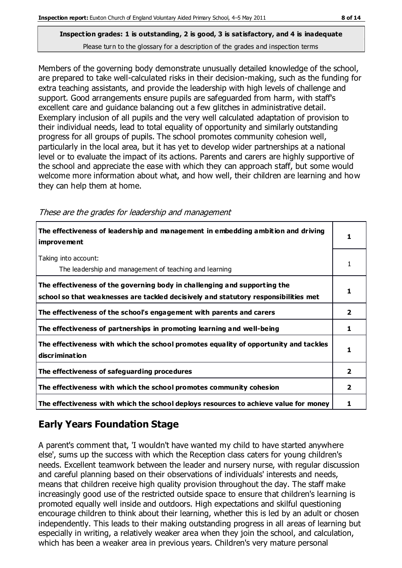Members of the governing body demonstrate unusually detailed knowledge of the school, are prepared to take well-calculated risks in their decision-making, such as the funding for extra teaching assistants, and provide the leadership with high levels of challenge and support. Good arrangements ensure pupils are safeguarded from harm, with staff's excellent care and guidance balancing out a few glitches in administrative detail. Exemplary inclusion of all pupils and the very well calculated adaptation of provision to their individual needs, lead to total equality of opportunity and similarly outstanding progress for all groups of pupils. The school promotes community cohesion well, particularly in the local area, but it has yet to develop wider partnerships at a national level or to evaluate the impact of its actions. Parents and carers are highly supportive of the school and appreciate the ease with which they can approach staff, but some would welcome more information about what, and how well, their children are learning and how they can help them at home.

| The effectiveness of leadership and management in embedding ambition and driving<br>improvement                                                                  |   |
|------------------------------------------------------------------------------------------------------------------------------------------------------------------|---|
| Taking into account:<br>The leadership and management of teaching and learning                                                                                   |   |
| The effectiveness of the governing body in challenging and supporting the<br>school so that weaknesses are tackled decisively and statutory responsibilities met |   |
| The effectiveness of the school's engagement with parents and carers                                                                                             | 2 |
| The effectiveness of partnerships in promoting learning and well-being                                                                                           | 1 |
| The effectiveness with which the school promotes equality of opportunity and tackles<br>discrimination                                                           |   |
| The effectiveness of safeguarding procedures                                                                                                                     | 2 |
| The effectiveness with which the school promotes community cohesion                                                                                              | 2 |
| The effectiveness with which the school deploys resources to achieve value for money                                                                             |   |

These are the grades for leadership and management

## **Early Years Foundation Stage**

A parent's comment that, 'I wouldn't have wanted my child to have started anywhere else', sums up the success with which the Reception class caters for young children's needs. Excellent teamwork between the leader and nursery nurse, with regular discussion and careful planning based on their observations of individuals' interests and needs, means that children receive high quality provision throughout the day. The staff make increasingly good use of the restricted outside space to ensure that children's learning is promoted equally well inside and outdoors. High expectations and skilful questioning encourage children to think about their learning, whether this is led by an adult or chosen independently. This leads to their making outstanding progress in all areas of learning but especially in writing, a relatively weaker area when they join the school, and calculation, which has been a weaker area in previous years. Children's very mature personal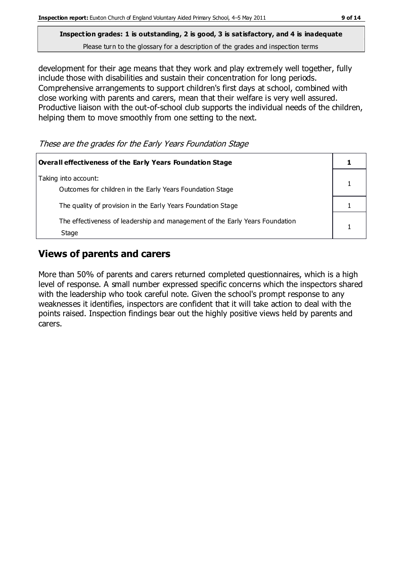development for their age means that they work and play extremely well together, fully include those with disabilities and sustain their concentration for long periods. Comprehensive arrangements to support children's first days at school, combined with close working with parents and carers, mean that their welfare is very well assured. Productive liaison with the out-of-school club supports the individual needs of the children, helping them to move smoothly from one setting to the next.

These are the grades for the Early Years Foundation Stage

| Overall effectiveness of the Early Years Foundation Stage                             |  |
|---------------------------------------------------------------------------------------|--|
| Taking into account:<br>Outcomes for children in the Early Years Foundation Stage     |  |
| The quality of provision in the Early Years Foundation Stage                          |  |
| The effectiveness of leadership and management of the Early Years Foundation<br>Stage |  |

## **Views of parents and carers**

More than 50% of parents and carers returned completed questionnaires, which is a high level of response. A small number expressed specific concerns which the inspectors shared with the leadership who took careful note. Given the school's prompt response to any weaknesses it identifies, inspectors are confident that it will take action to deal with the points raised. Inspection findings bear out the highly positive views held by parents and carers.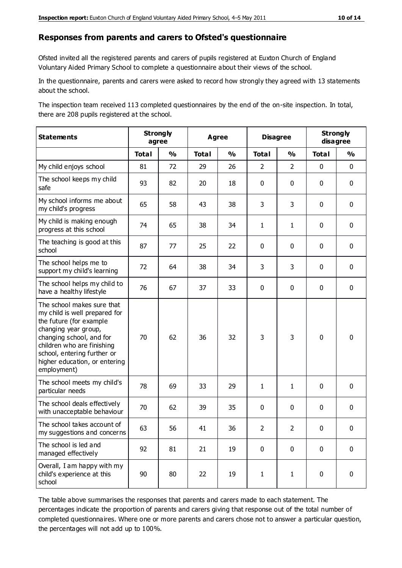#### **Responses from parents and carers to Ofsted's questionnaire**

Ofsted invited all the registered parents and carers of pupils registered at Euxton Church of England Voluntary Aided Primary School to complete a questionnaire about their views of the school.

In the questionnaire, parents and carers were asked to record how strongly they agreed with 13 statements about the school.

The inspection team received 113 completed questionnaires by the end of the on-site inspection. In total, there are 208 pupils registered at the school.

| <b>Statements</b>                                                                                                                                                                                                                                       | <b>Strongly</b><br>agree |               | Agree        |               | <b>Disagree</b> |                | <b>Strongly</b><br>disagree |               |
|---------------------------------------------------------------------------------------------------------------------------------------------------------------------------------------------------------------------------------------------------------|--------------------------|---------------|--------------|---------------|-----------------|----------------|-----------------------------|---------------|
|                                                                                                                                                                                                                                                         | <b>Total</b>             | $\frac{1}{2}$ | <b>Total</b> | $\frac{1}{2}$ | <b>Total</b>    | $\frac{0}{0}$  | <b>Total</b>                | $\frac{0}{0}$ |
| My child enjoys school                                                                                                                                                                                                                                  | 81                       | 72            | 29           | 26            | $\overline{2}$  | $\overline{2}$ | $\mathbf 0$                 | $\mathbf 0$   |
| The school keeps my child<br>safe                                                                                                                                                                                                                       | 93                       | 82            | 20           | 18            | 0               | $\mathbf 0$    | $\mathbf 0$                 | $\mathbf 0$   |
| My school informs me about<br>my child's progress                                                                                                                                                                                                       | 65                       | 58            | 43           | 38            | 3               | 3              | $\mathbf 0$                 | $\mathbf 0$   |
| My child is making enough<br>progress at this school                                                                                                                                                                                                    | 74                       | 65            | 38           | 34            | $\mathbf{1}$    | $\mathbf{1}$   | $\mathbf 0$                 | $\mathbf 0$   |
| The teaching is good at this<br>school                                                                                                                                                                                                                  | 87                       | 77            | 25           | 22            | 0               | 0              | 0                           | $\mathbf 0$   |
| The school helps me to<br>support my child's learning                                                                                                                                                                                                   | 72                       | 64            | 38           | 34            | 3               | 3              | $\mathbf 0$                 | $\mathbf 0$   |
| The school helps my child to<br>have a healthy lifestyle                                                                                                                                                                                                | 76                       | 67            | 37           | 33            | 0               | $\mathbf 0$    | $\mathbf 0$                 | $\mathbf 0$   |
| The school makes sure that<br>my child is well prepared for<br>the future (for example<br>changing year group,<br>changing school, and for<br>children who are finishing<br>school, entering further or<br>higher education, or entering<br>employment) | 70                       | 62            | 36           | 32            | 3               | 3              | $\mathbf 0$                 | $\mathbf 0$   |
| The school meets my child's<br>particular needs                                                                                                                                                                                                         | 78                       | 69            | 33           | 29            | $\mathbf{1}$    | $\mathbf{1}$   | $\mathbf 0$                 | $\mathbf 0$   |
| The school deals effectively<br>with unacceptable behaviour                                                                                                                                                                                             | 70                       | 62            | 39           | 35            | 0               | $\mathbf 0$    | $\mathbf 0$                 | $\mathbf 0$   |
| The school takes account of<br>my suggestions and concerns                                                                                                                                                                                              | 63                       | 56            | 41           | 36            | 2               | $\overline{2}$ | $\mathbf 0$                 | $\mathbf{0}$  |
| The school is led and<br>managed effectively                                                                                                                                                                                                            | 92                       | 81            | 21           | 19            | $\pmb{0}$       | $\mathbf 0$    | $\mathbf 0$                 | $\mathbf 0$   |
| Overall, I am happy with my<br>child's experience at this<br>school                                                                                                                                                                                     | 90                       | 80            | 22           | 19            | $\mathbf{1}$    | $\mathbf{1}$   | $\mathbf 0$                 | $\pmb{0}$     |

The table above summarises the responses that parents and carers made to each statement. The percentages indicate the proportion of parents and carers giving that response out of the total number of completed questionnaires. Where one or more parents and carers chose not to answer a particular question, the percentages will not add up to 100%.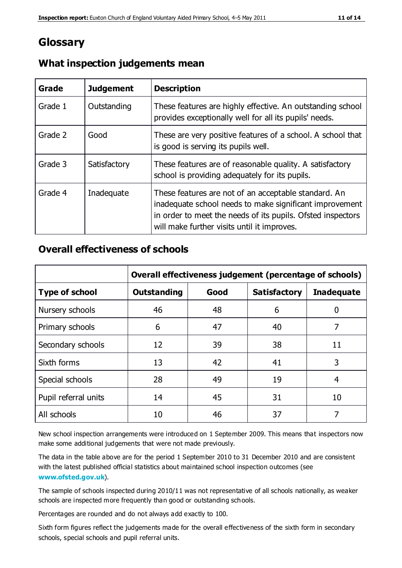## **Glossary**

| Grade   | <b>Judgement</b> | <b>Description</b>                                                                                                                                                                                                            |
|---------|------------------|-------------------------------------------------------------------------------------------------------------------------------------------------------------------------------------------------------------------------------|
| Grade 1 | Outstanding      | These features are highly effective. An outstanding school<br>provides exceptionally well for all its pupils' needs.                                                                                                          |
| Grade 2 | Good             | These are very positive features of a school. A school that<br>is good is serving its pupils well.                                                                                                                            |
| Grade 3 | Satisfactory     | These features are of reasonable quality. A satisfactory<br>school is providing adequately for its pupils.                                                                                                                    |
| Grade 4 | Inadequate       | These features are not of an acceptable standard. An<br>inadequate school needs to make significant improvement<br>in order to meet the needs of its pupils. Ofsted inspectors<br>will make further visits until it improves. |

#### **What inspection judgements mean**

#### **Overall effectiveness of schools**

|                       | Overall effectiveness judgement (percentage of schools) |      |                     |                   |
|-----------------------|---------------------------------------------------------|------|---------------------|-------------------|
| <b>Type of school</b> | <b>Outstanding</b>                                      | Good | <b>Satisfactory</b> | <b>Inadequate</b> |
| Nursery schools       | 46                                                      | 48   | 6                   |                   |
| Primary schools       | 6                                                       | 47   | 40                  | 7                 |
| Secondary schools     | 12                                                      | 39   | 38                  | 11                |
| Sixth forms           | 13                                                      | 42   | 41                  | 3                 |
| Special schools       | 28                                                      | 49   | 19                  | 4                 |
| Pupil referral units  | 14                                                      | 45   | 31                  | 10                |
| All schools           | 10                                                      | 46   | 37                  |                   |

New school inspection arrangements were introduced on 1 September 2009. This means that inspectors now make some additional judgements that were not made previously.

The data in the table above are for the period 1 September 2010 to 31 December 2010 and are consistent with the latest published official statistics about maintained school inspection outcomes (see **[www.ofsted.gov.uk](http://www.ofsted.gov.uk/)**).

The sample of schools inspected during 2010/11 was not representative of all schools nationally, as weaker schools are inspected more frequently than good or outstanding schools.

Percentages are rounded and do not always add exactly to 100.

Sixth form figures reflect the judgements made for the overall effectiveness of the sixth form in secondary schools, special schools and pupil referral units.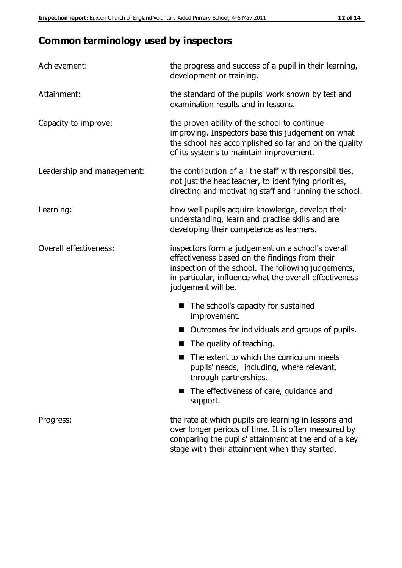## **Common terminology used by inspectors**

| Achievement:               | the progress and success of a pupil in their learning,<br>development or training.                                                                                                                                                          |  |  |
|----------------------------|---------------------------------------------------------------------------------------------------------------------------------------------------------------------------------------------------------------------------------------------|--|--|
| Attainment:                | the standard of the pupils' work shown by test and<br>examination results and in lessons.                                                                                                                                                   |  |  |
| Capacity to improve:       | the proven ability of the school to continue<br>improving. Inspectors base this judgement on what<br>the school has accomplished so far and on the quality<br>of its systems to maintain improvement.                                       |  |  |
| Leadership and management: | the contribution of all the staff with responsibilities,<br>not just the headteacher, to identifying priorities,<br>directing and motivating staff and running the school.                                                                  |  |  |
| Learning:                  | how well pupils acquire knowledge, develop their<br>understanding, learn and practise skills and are<br>developing their competence as learners.                                                                                            |  |  |
| Overall effectiveness:     | inspectors form a judgement on a school's overall<br>effectiveness based on the findings from their<br>inspection of the school. The following judgements,<br>in particular, influence what the overall effectiveness<br>judgement will be. |  |  |
|                            | The school's capacity for sustained<br>improvement.                                                                                                                                                                                         |  |  |
|                            | Outcomes for individuals and groups of pupils.                                                                                                                                                                                              |  |  |
|                            | The quality of teaching.                                                                                                                                                                                                                    |  |  |
|                            | The extent to which the curriculum meets<br>pupils' needs, including, where relevant,<br>through partnerships.                                                                                                                              |  |  |
|                            | The effectiveness of care, guidance and<br>support.                                                                                                                                                                                         |  |  |
| Progress:                  | the rate at which pupils are learning in lessons and<br>over longer periods of time. It is often measured by<br>comparing the pupils' attainment at the end of a key                                                                        |  |  |

stage with their attainment when they started.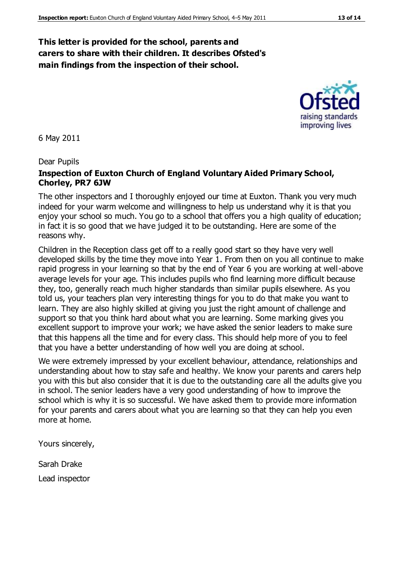#### **This letter is provided for the school, parents and carers to share with their children. It describes Ofsted's main findings from the inspection of their school.**

6 May 2011

#### Dear Pupils

#### **Inspection of Euxton Church of England Voluntary Aided Primary School, Chorley, PR7 6JW**

The other inspectors and I thoroughly enjoyed our time at Euxton. Thank you very much indeed for your warm welcome and willingness to help us understand why it is that you enjoy your school so much. You go to a school that offers you a high quality of education; in fact it is so good that we have judged it to be outstanding. Here are some of the reasons why.

Children in the Reception class get off to a really good start so they have very well developed skills by the time they move into Year 1. From then on you all continue to make rapid progress in your learning so that by the end of Year 6 you are working at well-above average levels for your age. This includes pupils who find learning more difficult because they, too, generally reach much higher standards than similar pupils elsewhere. As you told us, your teachers plan very interesting things for you to do that make you want to learn. They are also highly skilled at giving you just the right amount of challenge and support so that you think hard about what you are learning. Some marking gives you excellent support to improve your work; we have asked the senior leaders to make sure that this happens all the time and for every class. This should help more of you to feel that you have a better understanding of how well you are doing at school.

We were extremely impressed by your excellent behaviour, attendance, relationships and understanding about how to stay safe and healthy. We know your parents and carers help you with this but also consider that it is due to the outstanding care all the adults give you in school. The senior leaders have a very good understanding of how to improve the school which is why it is so successful. We have asked them to provide more information for your parents and carers about what you are learning so that they can help you even more at home.

Yours sincerely,

Sarah Drake Lead inspector



raising standards improving lives